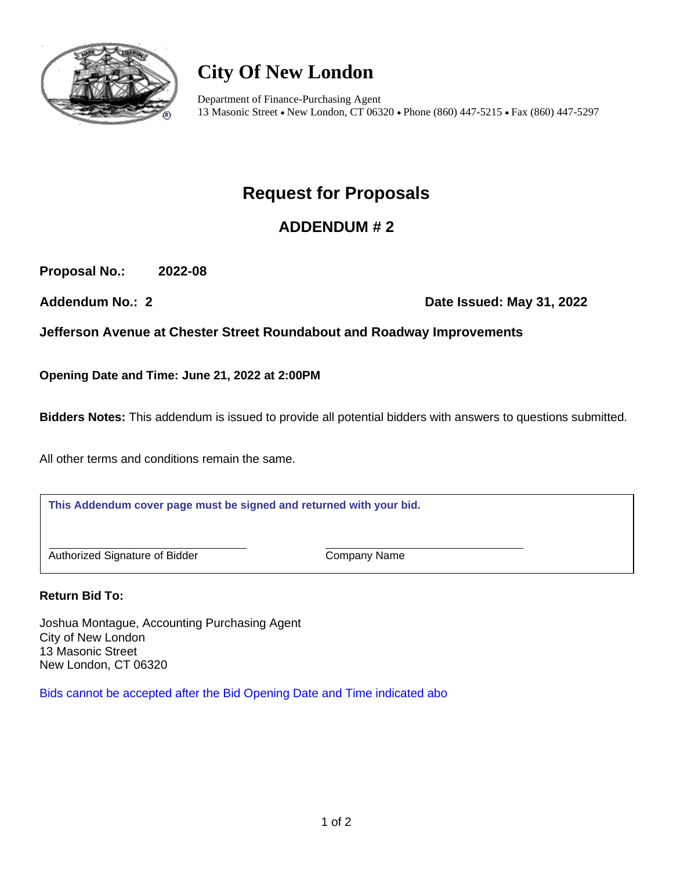

# **City Of New London**

Department of Finance-Purchasing Agent 13 Masonic Street • New London, CT 06320 • Phone (860) 447-5215 • Fax (860) 447-5297

## **Request for Proposals**

## **ADDENDUM # 2**

**Proposal No.: 2022-08**

Addendum No.: 2 **Date Issued: May 31, 2022** 

**Jefferson Avenue at Chester Street Roundabout and Roadway Improvements**

**Opening Date and Time: June 21, 2022 at 2:00PM**

**Bidders Notes:** This addendum is issued to provide all potential bidders with answers to questions submitted.

All other terms and conditions remain the same.

**This Addendum cover page must be signed and returned with your bid.**

Authorized Signature of Bidder Company Name

**Return Bid To:**

Joshua Montague, Accounting Purchasing Agent City of New London 13 Masonic Street New London, CT 06320

Bids cannot be accepted after the Bid Opening Date and Time indicated abo